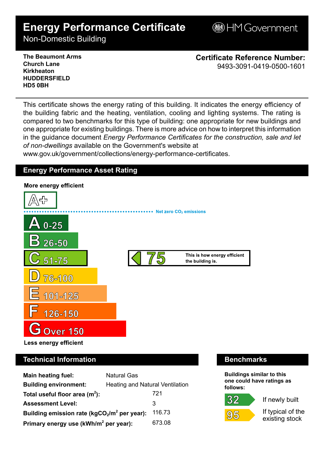# **Energy Performance Certificate**

**BHM Government** 

Non-Domestic Building

**The Beaumont Arms Church Lane Kirkheaton HUDDERSFIELD HD5 0BH**

**Certificate Reference Number:** 9493-3091-0419-0500-1601

This certificate shows the energy rating of this building. It indicates the energy efficiency of the building fabric and the heating, ventilation, cooling and lighting systems. The rating is compared to two benchmarks for this type of building: one appropriate for new buildings and one appropriate for existing buildings. There is more advice on how to interpret this information in the guidance document *Energy Performance Certificates for the construction, sale and let of non-dwellings* available on the Government's website at

www.gov.uk/government/collections/energy-performance-certificates.

# **Energy Performance Asset Rating**



# **Technical Information Benchmarks**

| <b>Main heating fuel:</b>                         | <b>Natural Gas</b>              |        |
|---------------------------------------------------|---------------------------------|--------|
| <b>Building environment:</b>                      | Heating and Natural Ventilation |        |
| Total useful floor area $(m2)$ :                  |                                 | 721    |
| <b>Assessment Level:</b>                          |                                 | 3      |
| Building emission rate ( $kgCO2/m2$ per year):    |                                 | 116.73 |
| Primary energy use (kWh/m <sup>2</sup> per year): |                                 | 673.08 |

**Buildings similar to this one could have ratings as follows:**

# 32



If newly built

If typical of the existing stock